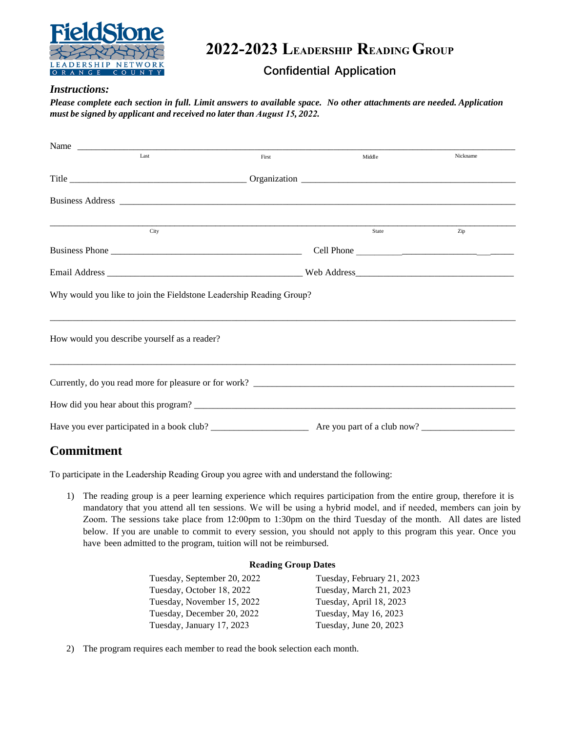

**2022-2023 LEADERSHIP READING GROUP**

**Confidential Application** 

## *Instructions:*

*Please complete each section in full. Limit answers to available space. No other attachments are needed. Application must be signed by applicant and received no later than August 15, 2022.* 

| Last                                                                | First | Middle | Nickname |
|---------------------------------------------------------------------|-------|--------|----------|
|                                                                     |       |        |          |
|                                                                     |       |        |          |
| City                                                                |       | State  | Zip      |
|                                                                     |       |        |          |
|                                                                     |       |        |          |
| Why would you like to join the Fieldstone Leadership Reading Group? |       |        |          |
| How would you describe yourself as a reader?                        |       |        |          |
|                                                                     |       |        |          |
| How did you hear about this program?                                |       |        |          |
|                                                                     |       |        |          |

## **Commitment**

To participate in the Leadership Reading Group you agree with and understand the following:

1) The reading group is a peer learning experience which requires participation from the entire group, therefore it is mandatory that you attend all ten sessions. We will be using a hybrid model, and if needed, members can join by Zoom. The sessions take place from 12:00pm to 1:30pm on the third Tuesday of the month. All dates are listed below. If you are unable to commit to every session, you should not apply to this program this year. Once you have been admitted to the program, tuition will not be reimbursed.

## **Reading Group Dates**

| Tuesday, September 20, 2022 | Tuesday, February 21, 2023 |
|-----------------------------|----------------------------|
| Tuesday, October 18, 2022   | Tuesday, March 21, 2023    |
| Tuesday, November 15, 2022  | Tuesday, April 18, 2023    |
| Tuesday, December 20, 2022  | Tuesday, May 16, 2023      |
| Tuesday, January 17, 2023   | Tuesday, June 20, 2023     |
|                             |                            |

2) The program requires each member to read the book selection each month.